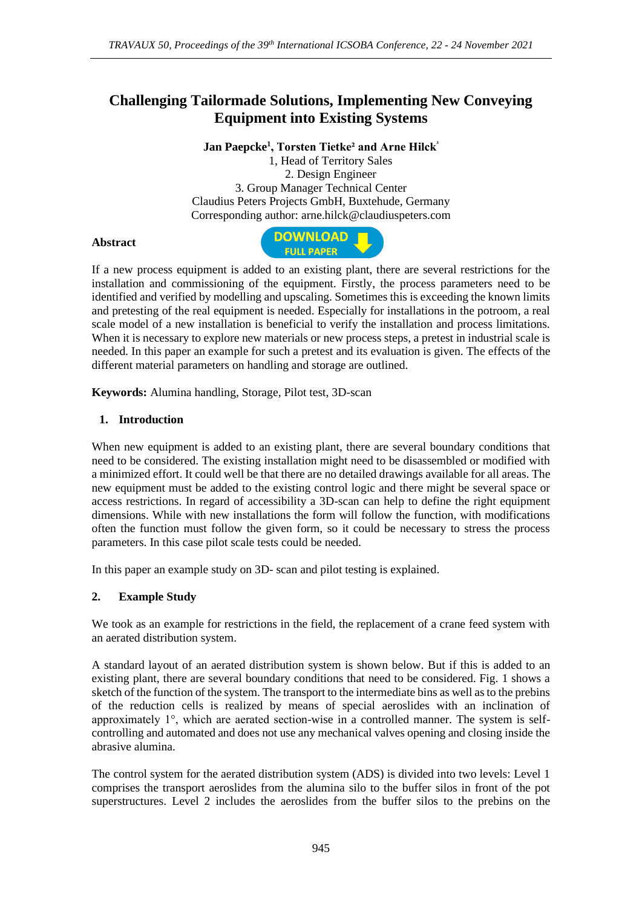# **Challenging Tailormade Solutions, Implementing New Conveying Equipment into Existing Systems**

**Jan Paepcke<sup>1</sup> , Torsten Tietke² and Arne Hilck<sup>³</sup>** 1, Head of Territory Sales 2. Design Engineer 3. Group Manager Technical Center Claudius Peters Projects GmbH, Buxtehude, Germany Corresponding author: arne.hilck@claudiuspeters.com

### **Abstract**



If a new process equipment is added to an existing plant, there are several restrictions for the installation and commissioning of the equipment. Firstly, the process parameters need to be identified and verified by modelling and upscaling. Sometimes this is exceeding the known limits and pretesting of the real equipment is needed. Especially for installations in the potroom, a real scale model of a new installation is beneficial to verify the installation and process limitations. When it is necessary to explore new materials or new process steps, a pretest in industrial scale is needed. In this paper an example for such a pretest and its evaluation is given. The effects of the different material parameters on handling and storage are outlined.

**Keywords:** Alumina handling, Storage, Pilot test, 3D-scan

### **1. Introduction**

When new equipment is added to an existing plant, there are several boundary conditions that need to be considered. The existing installation might need to be disassembled or modified with a minimized effort. It could well be that there are no detailed drawings available for all areas. The new equipment must be added to the existing control logic and there might be several space or access restrictions. In regard of accessibility a 3D-scan can help to define the right equipment dimensions. While with new installations the form will follow the function, with modifications often the function must follow the given form, so it could be necessary to stress the process parameters. In this case pilot scale tests could be needed.

In this paper an example study on 3D- scan and pilot testing is explained.

#### **2. Example Study**

We took as an example for restrictions in the field, the replacement of a crane feed system with an aerated distribution system.

A standard layout of an aerated distribution system is shown below. But if this is added to an existing plant, there are several boundary conditions that need to be considered. Fig. 1 shows a sketch of the function of the system. The transport to the intermediate bins as well as to the prebins of the reduction cells is realized by means of special aeroslides with an inclination of approximately 1°, which are aerated section-wise in a controlled manner. The system is selfcontrolling and automated and does not use any mechanical valves opening and closing inside the abrasive alumina.

The control system for the aerated distribution system (ADS) is divided into two levels: Level 1 comprises the transport aeroslides from the alumina silo to the buffer silos in front of the pot superstructures. Level 2 includes the aeroslides from the buffer silos to the prebins on the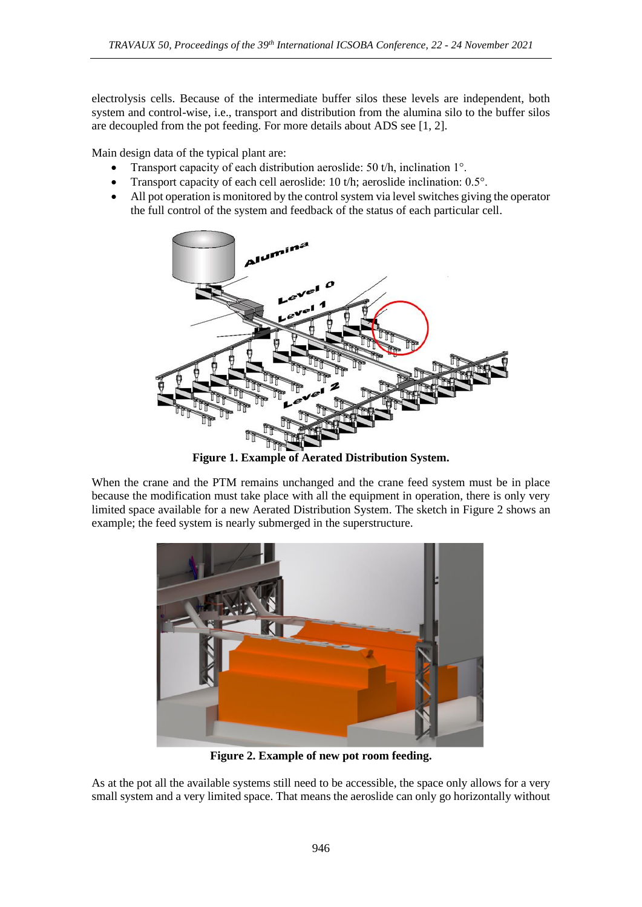electrolysis cells. Because of the intermediate buffer silos these levels are independent, both system and control-wise, i.e., transport and distribution from the alumina silo to the buffer silos are decoupled from the pot feeding. For more details about ADS see [1, 2].

Main design data of the typical plant are:

- Transport capacity of each distribution aeroslide: 50 t/h, inclination 1°.
- Transport capacity of each cell aeroslide: 10 t/h; aeroslide inclination: 0.5°.
- All pot operation is monitored by the control system via level switches giving the operator the full control of the system and feedback of the status of each particular cell.



**Figure 1. Example of Aerated Distribution System.**

When the crane and the PTM remains unchanged and the crane feed system must be in place because the modification must take place with all the equipment in operation, there is only very limited space available for a new Aerated Distribution System. The sketch in Figure 2 shows an example; the feed system is nearly submerged in the superstructure.



**Figure 2. Example of new pot room feeding.**

As at the pot all the available systems still need to be accessible, the space only allows for a very small system and a very limited space. That means the aeroslide can only go horizontally without